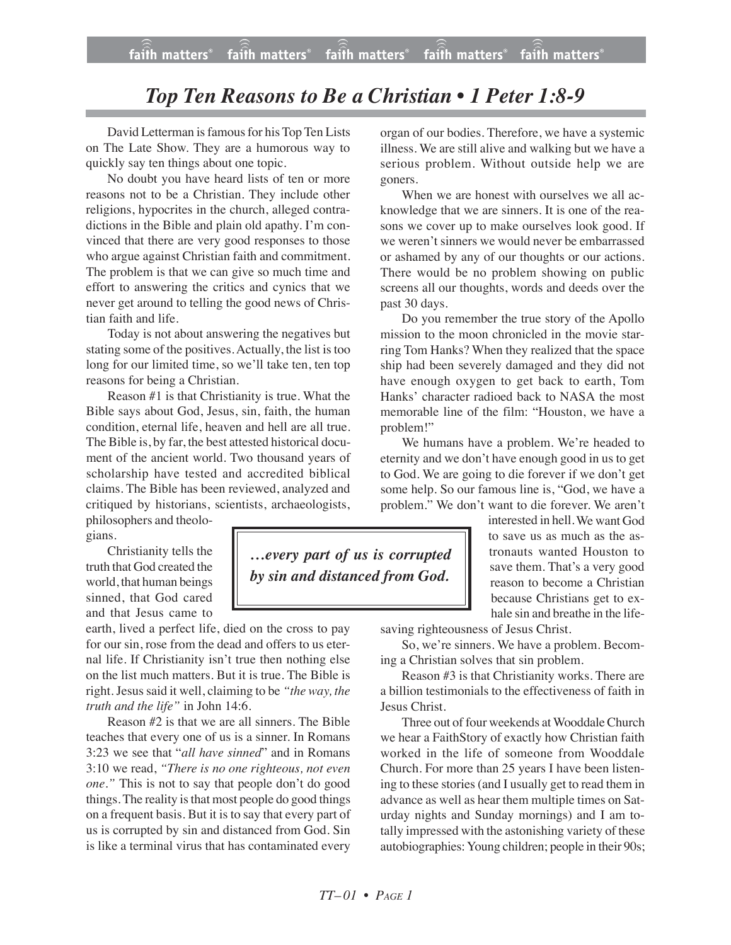## *Top Ten Reasons to Be a Christian • 1 Peter 1:8-9*

David Letterman is famous for his Top Ten Lists on The Late Show. They are a humorous way to quickly say ten things about one topic.

No doubt you have heard lists of ten or more reasons not to be a Christian. They include other religions, hypocrites in the church, alleged contradictions in the Bible and plain old apathy. I'm convinced that there are very good responses to those who argue against Christian faith and commitment. The problem is that we can give so much time and effort to answering the critics and cynics that we never get around to telling the good news of Christian faith and life.

Today is not about answering the negatives but stating some of the positives. Actually, the list is too long for our limited time, so we'll take ten, ten top reasons for being a Christian.

Reason #1 is that Christianity is true. What the Bible says about God, Jesus, sin, faith, the human condition, eternal life, heaven and hell are all true. The Bible is, by far, the best attested historical document of the ancient world. Two thousand years of scholarship have tested and accredited biblical claims. The Bible has been reviewed, analyzed and critiqued by historians, scientists, archaeologists,

philosophers and theologians.

Christianity tells the truth that God created the world, that human beings sinned, that God cared and that Jesus came to

earth, lived a perfect life, died on the cross to pay for our sin, rose from the dead and offers to us eternal life. If Christianity isn't true then nothing else on the list much matters. But it is true. The Bible is right. Jesus said it well, claiming to be *"the way, the truth and the life"* in John 14:6.

Reason #2 is that we are all sinners. The Bible teaches that every one of us is a sinner. In Romans 3:23 we see that "*all have sinned*" and in Romans 3:10 we read, *"There is no one righteous, not even one."* This is not to say that people don't do good things. The reality is that most people do good things on a frequent basis. But it is to say that every part of us is corrupted by sin and distanced from God. Sin is like a terminal virus that has contaminated every organ of our bodies. Therefore, we have a systemic illness. We are still alive and walking but we have a serious problem. Without outside help we are goners.

When we are honest with ourselves we all acknowledge that we are sinners. It is one of the reasons we cover up to make ourselves look good. If we weren't sinners we would never be embarrassed or ashamed by any of our thoughts or our actions. There would be no problem showing on public screens all our thoughts, words and deeds over the past 30 days.

Do you remember the true story of the Apollo mission to the moon chronicled in the movie starring Tom Hanks? When they realized that the space ship had been severely damaged and they did not have enough oxygen to get back to earth, Tom Hanks' character radioed back to NASA the most memorable line of the film: "Houston, we have a problem!"

We humans have a problem. We're headed to eternity and we don't have enough good in us to get to God. We are going to die forever if we don't get some help. So our famous line is, "God, we have a problem." We don't want to die forever. We aren't

> interested in hell.We want God to save us as much as the astronauts wanted Houston to save them. That's a very good reason to become a Christian because Christians get to exhale sin and breathe in the life-

saving righteousness of Jesus Christ.

So, we're sinners. We have a problem. Becoming a Christian solves that sin problem.

Reason #3 is that Christianity works. There are a billion testimonials to the effectiveness of faith in Jesus Christ.

Three out of four weekends at Wooddale Church we hear a FaithStory of exactly how Christian faith worked in the life of someone from Wooddale Church. For more than 25 years I have been listening to these stories (and I usually get to read them in advance as well as hear them multiple times on Saturday nights and Sunday mornings) and I am totally impressed with the astonishing variety of these autobiographies: Young children; people in their 90s;

*…every part of us is corrupted by sin and distanced from God.*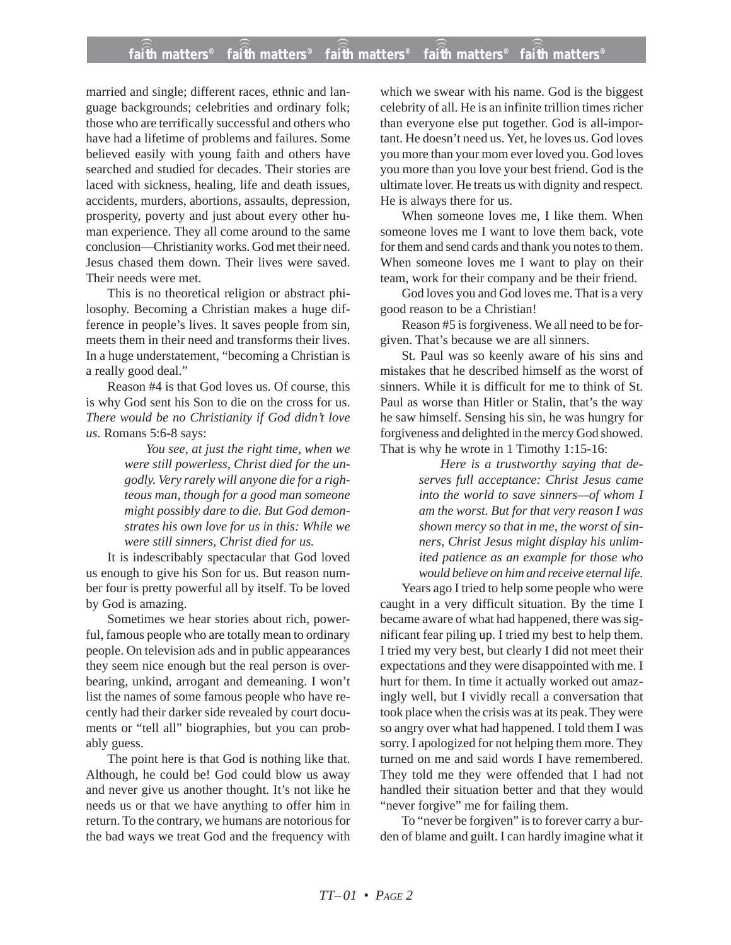## **faith matters® faith matters® faith matters® faith matters® faith matters®** ))) ))) )))  $fa\hat{i}\hat{f}h$  matters $^{\circ}$  fa $\hat{i}\hat{f}h$  matters $^{\circ}$ faith matters<sup>®</sup>

married and single; different races, ethnic and language backgrounds; celebrities and ordinary folk; those who are terrifically successful and others who have had a lifetime of problems and failures. Some believed easily with young faith and others have searched and studied for decades. Their stories are laced with sickness, healing, life and death issues, accidents, murders, abortions, assaults, depression, prosperity, poverty and just about every other human experience. They all come around to the same conclusion—Christianity works. God met their need. Jesus chased them down. Their lives were saved. Their needs were met.

This is no theoretical religion or abstract philosophy. Becoming a Christian makes a huge difference in people's lives. It saves people from sin, meets them in their need and transforms their lives. In a huge understatement, "becoming a Christian is a really good deal."

Reason #4 is that God loves us. Of course, this is why God sent his Son to die on the cross for us. *There would be no Christianity if God didn't love us.* Romans 5:6-8 says:

*You see, at just the right time, when we were still powerless, Christ died for the ungodly. Very rarely will anyone die for a righteous man, though for a good man someone might possibly dare to die. But God demonstrates his own love for us in this: While we were still sinners, Christ died for us.*

It is indescribably spectacular that God loved us enough to give his Son for us. But reason number four is pretty powerful all by itself. To be loved by God is amazing.

Sometimes we hear stories about rich, powerful, famous people who are totally mean to ordinary people. On television ads and in public appearances they seem nice enough but the real person is overbearing, unkind, arrogant and demeaning. I won't list the names of some famous people who have recently had their darker side revealed by court documents or "tell all" biographies, but you can probably guess.

The point here is that God is nothing like that. Although, he could be! God could blow us away and never give us another thought. It's not like he needs us or that we have anything to offer him in return. To the contrary, we humans are notorious for the bad ways we treat God and the frequency with which we swear with his name. God is the biggest celebrity of all. He is an infinite trillion times richer than everyone else put together. God is all-important. He doesn't need us. Yet, he loves us. God loves you more than your mom ever loved you. God loves you more than you love your best friend. God is the ultimate lover. He treats us with dignity and respect. He is always there for us.

When someone loves me, I like them. When someone loves me I want to love them back, vote for them and send cards and thank you notes to them. When someone loves me I want to play on their team, work for their company and be their friend.

God loves you and God loves me. That is a very good reason to be a Christian!

Reason #5 is forgiveness. We all need to be forgiven. That's because we are all sinners.

St. Paul was so keenly aware of his sins and mistakes that he described himself as the worst of sinners. While it is difficult for me to think of St. Paul as worse than Hitler or Stalin, that's the way he saw himself. Sensing his sin, he was hungry for forgiveness and delighted in the mercy God showed. That is why he wrote in 1 Timothy 1:15-16:

> *Here is a trustworthy saying that deserves full acceptance: Christ Jesus came into the world to save sinners—of whom I am the worst. But for that very reason I was shown mercy so that in me, the worst of sinners, Christ Jesus might display his unlimited patience as an example for those who would believe on him and receive eternal life.*

Years ago I tried to help some people who were caught in a very difficult situation. By the time I became aware of what had happened, there was significant fear piling up. I tried my best to help them. I tried my very best, but clearly I did not meet their expectations and they were disappointed with me. I hurt for them. In time it actually worked out amazingly well, but I vividly recall a conversation that took place when the crisis was at its peak. They were so angry over what had happened. I told them I was sorry. I apologized for not helping them more. They turned on me and said words I have remembered. They told me they were offended that I had not handled their situation better and that they would "never forgive" me for failing them.

To "never be forgiven" is to forever carry a burden of blame and guilt. I can hardly imagine what it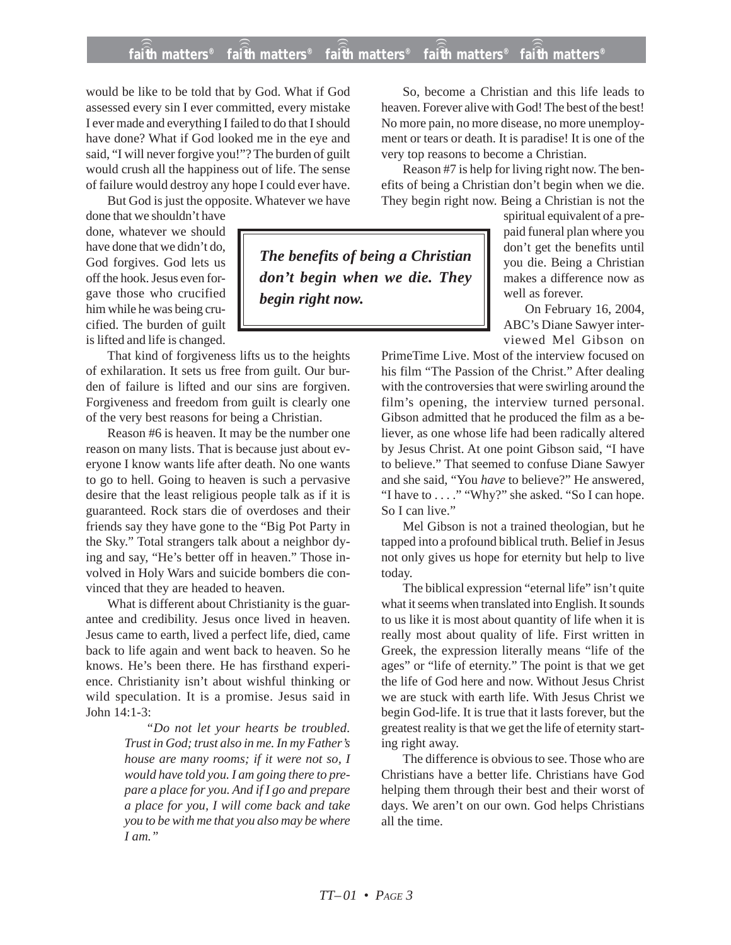## **faith matters® faith matters® faith matters® faith matters® faith matters®** ))) ))) faith matters<sup>®</sup> ))) )))

would be like to be told that by God. What if God assessed every sin I ever committed, every mistake I ever made and everything I failed to do that I should have done? What if God looked me in the eye and said, "I will never forgive you!"? The burden of guilt would crush all the happiness out of life. The sense of failure would destroy any hope I could ever have.

But God is just the opposite. Whatever we have

done that we shouldn't have done, whatever we should have done that we didn't do, God forgives. God lets us off the hook. Jesus even forgave those who crucified him while he was being crucified. The burden of guilt is lifted and life is changed.

That kind of forgiveness lifts us to the heights of exhilaration. It sets us free from guilt. Our burden of failure is lifted and our sins are forgiven. Forgiveness and freedom from guilt is clearly one of the very best reasons for being a Christian.

Reason #6 is heaven. It may be the number one reason on many lists. That is because just about everyone I know wants life after death. No one wants to go to hell. Going to heaven is such a pervasive desire that the least religious people talk as if it is guaranteed. Rock stars die of overdoses and their friends say they have gone to the "Big Pot Party in the Sky." Total strangers talk about a neighbor dying and say, "He's better off in heaven." Those involved in Holy Wars and suicide bombers die convinced that they are headed to heaven.

What is different about Christianity is the guarantee and credibility. Jesus once lived in heaven. Jesus came to earth, lived a perfect life, died, came back to life again and went back to heaven. So he knows. He's been there. He has firsthand experience. Christianity isn't about wishful thinking or wild speculation. It is a promise. Jesus said in John 14:1-3:

> *"Do not let your hearts be troubled. Trust in God; trust also in me. In my Father's house are many rooms; if it were not so, I would have told you. I am going there to prepare a place for you. And if I go and prepare a place for you, I will come back and take you to be with me that you also may be where I am."*

So, become a Christian and this life leads to heaven. Forever alive with God! The best of the best! No more pain, no more disease, no more unemployment or tears or death. It is paradise! It is one of the very top reasons to become a Christian.

Reason #7 is help for living right now. The benefits of being a Christian don't begin when we die. They begin right now. Being a Christian is not the

*The benefits of being a Christian don't begin when we die. They begin right now.*

spiritual equivalent of a prepaid funeral plan where you don't get the benefits until you die. Being a Christian makes a difference now as well as forever.

On February 16, 2004, ABC's Diane Sawyer interviewed Mel Gibson on

PrimeTime Live. Most of the interview focused on his film "The Passion of the Christ." After dealing with the controversies that were swirling around the film's opening, the interview turned personal. Gibson admitted that he produced the film as a believer, as one whose life had been radically altered by Jesus Christ. At one point Gibson said, "I have to believe." That seemed to confuse Diane Sawyer and she said, "You *have* to believe?" He answered, "I have to . . . ." "Why?" she asked. "So I can hope. So I can live."

Mel Gibson is not a trained theologian, but he tapped into a profound biblical truth. Belief in Jesus not only gives us hope for eternity but help to live today.

The biblical expression "eternal life" isn't quite what it seems when translated into English. It sounds to us like it is most about quantity of life when it is really most about quality of life. First written in Greek, the expression literally means "life of the ages" or "life of eternity." The point is that we get the life of God here and now. Without Jesus Christ we are stuck with earth life. With Jesus Christ we begin God-life. It is true that it lasts forever, but the greatest reality is that we get the life of eternity starting right away.

The difference is obvious to see. Those who are Christians have a better life. Christians have God helping them through their best and their worst of days. We aren't on our own. God helps Christians all the time.